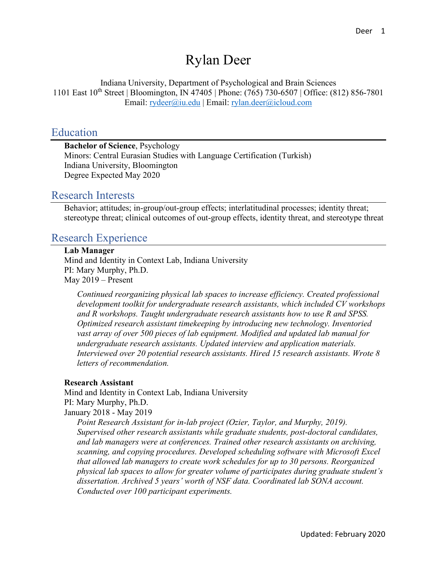# Rylan Deer

Indiana University, Department of Psychological and Brain Sciences 1101 East 10<sup>th</sup> Street | Bloomington, IN 47405 | Phone: (765) 730-6507 | Office: (812) 856-7801 Email: [rydeer@iu.edu](mailto:rydeer@iu.edu) | Email: [rylan.deer@icloud.com](mailto:rylan.deer@icloud.com)

#### Education

**Bachelor of Science**, Psychology Minors: Central Eurasian Studies with Language Certification (Turkish) Indiana University, Bloomington Degree Expected May 2020

#### Research Interests

Behavior; attitudes; in-group/out-group effects; interlatitudinal processes; identity threat; stereotype threat; clinical outcomes of out-group effects, identity threat, and stereotype threat

#### Research Experience

#### **Lab Manager**

Mind and Identity in Context Lab, Indiana University PI: Mary Murphy, Ph.D. May 2019 – Present

*Continued reorganizing physical lab spaces to increase efficiency. Created professional development toolkit for undergraduate research assistants, which included CV workshops and R workshops. Taught undergraduate research assistants how to use R and SPSS. Optimized research assistant timekeeping by introducing new technology. Inventoried vast array of over 500 pieces of lab equipment. Modified and updated lab manual for undergraduate research assistants. Updated interview and application materials. Interviewed over 20 potential research assistants. Hired 15 research assistants. Wrote 8 letters of recommendation.*

#### **Research Assistant**

Mind and Identity in Context Lab, Indiana University PI: Mary Murphy, Ph.D. January 2018 - May 2019

*Point Research Assistant for in-lab project (Ozier, Taylor, and Murphy, 2019). Supervised other research assistants while graduate students, post-doctoral candidates, and lab managers were at conferences. Trained other research assistants on archiving, scanning, and copying procedures. Developed scheduling software with Microsoft Excel that allowed lab managers to create work schedules for up to 30 persons. Reorganized physical lab spaces to allow for greater volume of participates during graduate student's dissertation. Archived 5 years' worth of NSF data. Coordinated lab SONA account. Conducted over 100 participant experiments.*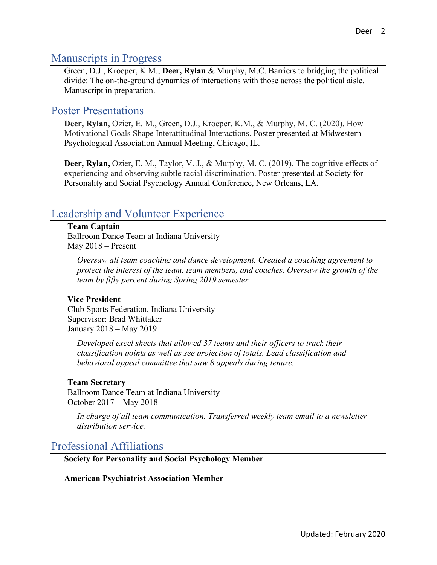## Manuscripts in Progress

Green, D.J., Kroeper, K.M., **Deer, Rylan** & Murphy, M.C. Barriers to bridging the political divide: The on-the-ground dynamics of interactions with those across the political aisle. Manuscript in preparation.

### Poster Presentations

**Deer, Rylan**, Ozier, E. M., Green, D.J., Kroeper, K.M., & Murphy, M. C. (2020). How Motivational Goals Shape Interattitudinal Interactions. Poster presented at Midwestern Psychological Association Annual Meeting, Chicago, IL.

**Deer, Rylan,** Ozier, E. M., Taylor, V. J., & Murphy, M. C. (2019). The cognitive effects of experiencing and observing subtle racial discrimination. Poster presented at Society for Personality and Social Psychology Annual Conference, New Orleans, LA.

# Leadership and Volunteer Experience

#### **Team Captain**

Ballroom Dance Team at Indiana University May 2018 – Present

*Oversaw all team coaching and dance development. Created a coaching agreement to protect the interest of the team, team members, and coaches. Oversaw the growth of the team by fifty percent during Spring 2019 semester.* 

#### **Vice President**

Club Sports Federation, Indiana University Supervisor: Brad Whittaker January 2018 – May 2019

*Developed excel sheets that allowed 37 teams and their officers to track their classification points as well as see projection of totals. Lead classification and behavioral appeal committee that saw 8 appeals during tenure.*

#### **Team Secretary**

Ballroom Dance Team at Indiana University October 2017 – May 2018

*In charge of all team communication. Transferred weekly team email to a newsletter distribution service.*

### Professional Affiliations

**Society for Personality and Social Psychology Member**

**American Psychiatrist Association Member**